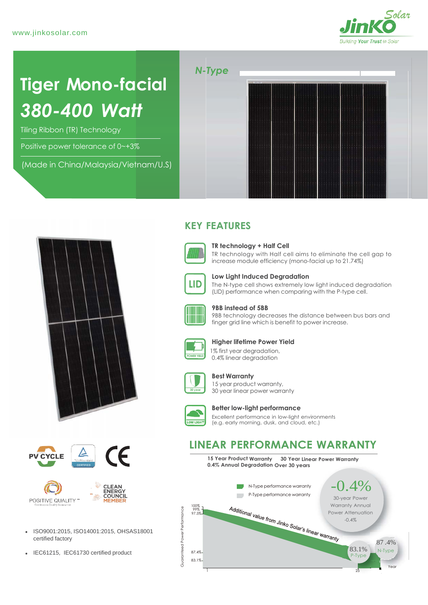

# **Tiger Mono-facial** *380-400 Watt*

Tiling Ribbon (TR) Technology

Positive power tolerance of 0~+3%

(Made in China/Malaysia/Vietnam/U.S)



## **KEY FEATURES**



#### **TR technology + Half Cell**

TR technology with Half cell aims to eliminate the cell gap to increase module efficiency (mono-facial up to 21.74%)



**Low Light Induced Degradation**

The N-type cell shows extremely low light induced degradation (LID) performance when comparing with the P-type cell.



#### **9BB instead of 5BB**

9BB technology decreases the distance between bus bars and finger grid line which is benefit to power increase.



#### **Higher lifetime Power Yield**

 1% first year degradation, 0.4% linear degradation



#### **Best Warranty**

15 year product warranty, 30 year linear power warranty



#### **Better low-light performance**

Excellent performance in low-light environments (e.g. early morning, dusk, and cloud, etc.)

### **LINEAR PERFORMANCE WARRANTY**

**15 Year Product Warranty 30 Year Linear Power Warranty 0.4% Annual Degradation Over 30 years**









- ISO9001:2015, ISO14001:2015, OHSAS18001
- IEC61215, IEC61730 certified product  $\frac{8}{5}$  87.4%